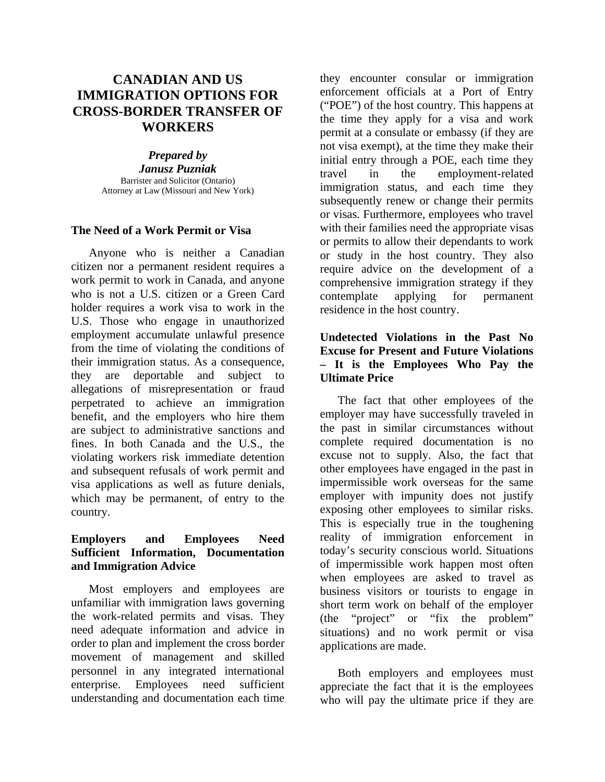# **CANADIAN AND US IMMIGRATION OPTIONS FOR CROSS-BORDER TRANSFER OF WORKERS**

#### *Prepared by*

*Janusz Puzniak*  Barrister and Solicitor (Ontario) Attorney at Law (Missouri and New York)

### **The Need of a Work Permit or Visa**

Anyone who is neither a Canadian citizen nor a permanent resident requires a work permit to work in Canada, and anyone who is not a U.S. citizen or a Green Card holder requires a work visa to work in the U.S. Those who engage in unauthorized employment accumulate unlawful presence from the time of violating the conditions of their immigration status. As a consequence, they are deportable and subject to allegations of misrepresentation or fraud perpetrated to achieve an immigration benefit, and the employers who hire them are subject to administrative sanctions and fines. In both Canada and the U.S., the violating workers risk immediate detention and subsequent refusals of work permit and visa applications as well as future denials, which may be permanent, of entry to the country.

#### **Employers and Employees Need Sufficient Information, Documentation and Immigration Advice**

Most employers and employees are unfamiliar with immigration laws governing the work-related permits and visas. They need adequate information and advice in order to plan and implement the cross border movement of management and skilled personnel in any integrated international enterprise. Employees need sufficient understanding and documentation each time

they encounter consular or immigration enforcement officials at a Port of Entry ("POE") of the host country. This happens at the time they apply for a visa and work permit at a consulate or embassy (if they are not visa exempt), at the time they make their initial entry through a POE, each time they travel in the employment-related immigration status, and each time they subsequently renew or change their permits or visas. Furthermore, employees who travel with their families need the appropriate visas or permits to allow their dependants to work or study in the host country. They also require advice on the development of a comprehensive immigration strategy if they contemplate applying for permanent residence in the host country.

# **Undetected Violations in the Past No Excuse for Present and Future Violations – It is the Employees Who Pay the Ultimate Price**

The fact that other employees of the employer may have successfully traveled in the past in similar circumstances without complete required documentation is no excuse not to supply. Also, the fact that other employees have engaged in the past in impermissible work overseas for the same employer with impunity does not justify exposing other employees to similar risks. This is especially true in the toughening reality of immigration enforcement in today's security conscious world. Situations of impermissible work happen most often when employees are asked to travel as business visitors or tourists to engage in short term work on behalf of the employer (the "project" or "fix the problem" situations) and no work permit or visa applications are made.

Both employers and employees must appreciate the fact that it is the employees who will pay the ultimate price if they are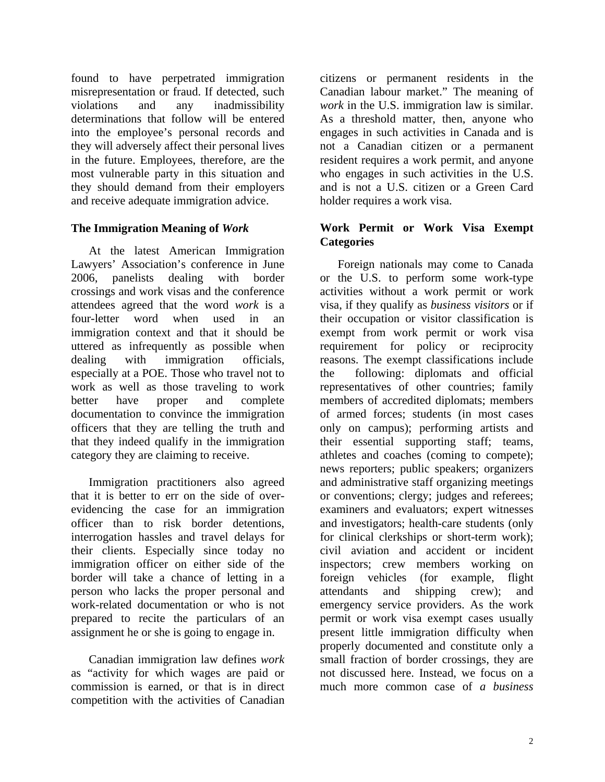found to have perpetrated immigration misrepresentation or fraud. If detected, such violations and any inadmissibility determinations that follow will be entered into the employee's personal records and they will adversely affect their personal lives in the future. Employees, therefore, are the most vulnerable party in this situation and they should demand from their employers and receive adequate immigration advice.

# **The Immigration Meaning of** *Work*

At the latest American Immigration Lawyers' Association's conference in June 2006, panelists dealing with border crossings and work visas and the conference attendees agreed that the word *work* is a four-letter word when used in an immigration context and that it should be uttered as infrequently as possible when dealing with immigration officials, especially at a POE. Those who travel not to work as well as those traveling to work better have proper and complete documentation to convince the immigration officers that they are telling the truth and that they indeed qualify in the immigration category they are claiming to receive.

Immigration practitioners also agreed that it is better to err on the side of overevidencing the case for an immigration officer than to risk border detentions, interrogation hassles and travel delays for their clients. Especially since today no immigration officer on either side of the border will take a chance of letting in a person who lacks the proper personal and work-related documentation or who is not prepared to recite the particulars of an assignment he or she is going to engage in.

Canadian immigration law defines *work* as "activity for which wages are paid or commission is earned, or that is in direct competition with the activities of Canadian

citizens or permanent residents in the Canadian labour market." The meaning of *work* in the U.S. immigration law is similar. As a threshold matter, then, anyone who engages in such activities in Canada and is not a Canadian citizen or a permanent resident requires a work permit, and anyone who engages in such activities in the U.S. and is not a U.S. citizen or a Green Card holder requires a work visa.

# **Work Permit or Work Visa Exempt Categories**

Foreign nationals may come to Canada or the U.S. to perform some work-type activities without a work permit or work visa, if they qualify as *business visitors* or if their occupation or visitor classification is exempt from work permit or work visa requirement for policy or reciprocity reasons. The exempt classifications include the following: diplomats and official representatives of other countries; family members of accredited diplomats; members of armed forces; students (in most cases only on campus); performing artists and their essential supporting staff; teams, athletes and coaches (coming to compete); news reporters; public speakers; organizers and administrative staff organizing meetings or conventions; clergy; judges and referees; examiners and evaluators; expert witnesses and investigators; health-care students (only for clinical clerkships or short-term work); civil aviation and accident or incident inspectors; crew members working on foreign vehicles (for example, flight attendants and shipping crew); and emergency service providers. As the work permit or work visa exempt cases usually present little immigration difficulty when properly documented and constitute only a small fraction of border crossings, they are not discussed here. Instead, we focus on a much more common case of *a business*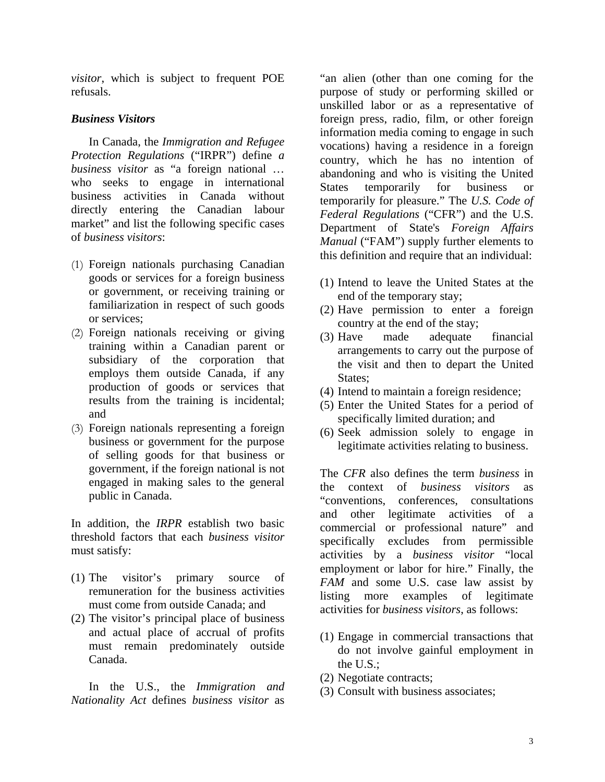*visitor*, which is subject to frequent POE refusals.

### *Business Visitors*

In Canada, the *Immigration and Refugee Protection Regulations* ("IRPR") define *a business visitor* as "a foreign national … who seeks to engage in international business activities in Canada without directly entering the Canadian labour market" and list the following specific cases of *business visitors*:

- (1) Foreign nationals purchasing Canadian goods or services for a foreign business or government, or receiving training or familiarization in respect of such goods or services;
- (2) Foreign nationals receiving or giving training within a Canadian parent or subsidiary of the corporation that employs them outside Canada, if any production of goods or services that results from the training is incidental; and
- (3) Foreign nationals representing a foreign business or government for the purpose of selling goods for that business or government, if the foreign national is not engaged in making sales to the general public in Canada.

In addition, the *IRPR* establish two basic threshold factors that each *business visitor* must satisfy:

- (1) The visitor's primary source of remuneration for the business activities must come from outside Canada; and
- (2) The visitor's principal place of business and actual place of accrual of profits must remain predominately outside Canada.

In the U.S., the *Immigration and Nationality Act* defines *business visitor* as

"an alien (other than one coming for the purpose of study or performing skilled or unskilled labor or as a representative of foreign press, radio, film, or other foreign information media coming to engage in such vocations) having a residence in a foreign country, which he has no intention of abandoning and who is visiting the United States temporarily for business or temporarily for pleasure." The *U.S. Code of Federal Regulations* ("CFR") and the U.S. Department of State's *Foreign Affairs Manual* ("FAM") supply further elements to this definition and require that an individual:

- (1) Intend to leave the United States at the end of the temporary stay;
- (2) Have permission to enter a foreign country at the end of the stay;
- (3) Have made adequate financial arrangements to carry out the purpose of the visit and then to depart the United States:
- (4) Intend to maintain a foreign residence;
- (5) Enter the United States for a period of specifically limited duration; and
- (6) Seek admission solely to engage in legitimate activities relating to business.

The *CFR* also defines the term *business* in the context of *business visitors* as "conventions, conferences, consultations and other legitimate activities of a commercial or professional nature" and specifically excludes from permissible activities by a *business visitor* "local employment or labor for hire." Finally, the *FAM* and some U.S. case law assist by listing more examples of legitimate activities for *business visitors*, as follows:

- (1) Engage in commercial transactions that do not involve gainful employment in the U.S.;
- (2) Negotiate contracts;
- (3) Consult with business associates;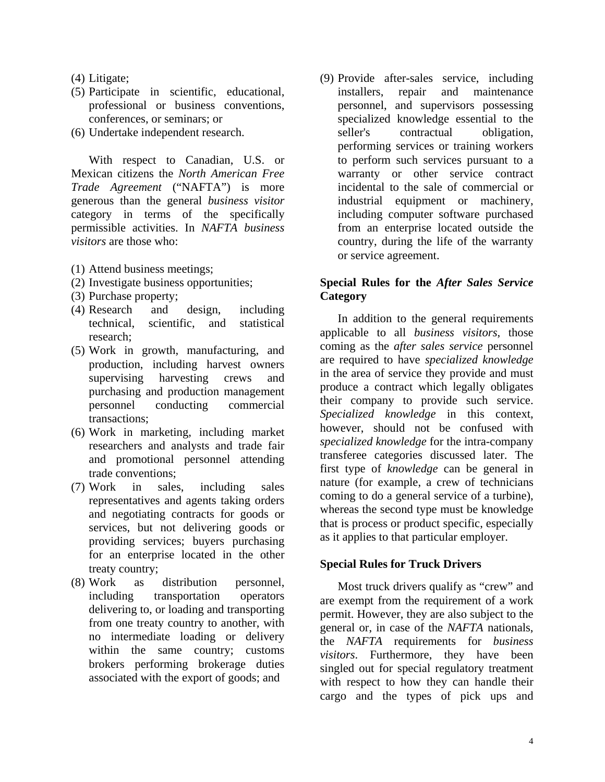- (4) Litigate;
- (5) Participate in scientific, educational, professional or business conventions, conferences, or seminars; or
- (6) Undertake independent research.

With respect to Canadian, U.S. or Mexican citizens the *North American Free Trade Agreement* ("NAFTA") is more generous than the general *business visitor* category in terms of the specifically permissible activities. In *NAFTA business visitors* are those who:

- (1) Attend business meetings;
- (2) Investigate business opportunities;
- (3) Purchase property;
- (4) Research and design, including technical, scientific, and statistical research;
- (5) Work in growth, manufacturing, and production, including harvest owners supervising harvesting crews and purchasing and production management personnel conducting commercial transactions;
- (6) Work in marketing, including market researchers and analysts and trade fair and promotional personnel attending trade conventions;
- (7) Work in sales, including sales representatives and agents taking orders and negotiating contracts for goods or services, but not delivering goods or providing services; buyers purchasing for an enterprise located in the other treaty country;
- (8) Work as distribution personnel, including transportation operators delivering to, or loading and transporting from one treaty country to another, with no intermediate loading or delivery within the same country; customs brokers performing brokerage duties associated with the export of goods; and

(9) Provide after-sales service, including installers, repair and maintenance personnel, and supervisors possessing specialized knowledge essential to the seller's contractual obligation, performing services or training workers to perform such services pursuant to a warranty or other service contract incidental to the sale of commercial or industrial equipment or machinery, including computer software purchased from an enterprise located outside the country, during the life of the warranty or service agreement.

### **Special Rules for the** *After Sales Service* **Category**

In addition to the general requirements applicable to all *business visitors*, those coming as the *after sales service* personnel are required to have *specialized knowledge* in the area of service they provide and must produce a contract which legally obligates their company to provide such service. *Specialized knowledge* in this context, however, should not be confused with *specialized knowledge* for the intra-company transferee categories discussed later. The first type of *knowledge* can be general in nature (for example, a crew of technicians coming to do a general service of a turbine), whereas the second type must be knowledge that is process or product specific, especially as it applies to that particular employer.

# **Special Rules for Truck Drivers**

Most truck drivers qualify as "crew" and are exempt from the requirement of a work permit. However, they are also subject to the general or, in case of the *NAFTA* nationals, the *NAFTA* requirements for *business visitors*. Furthermore, they have been singled out for special regulatory treatment with respect to how they can handle their cargo and the types of pick ups and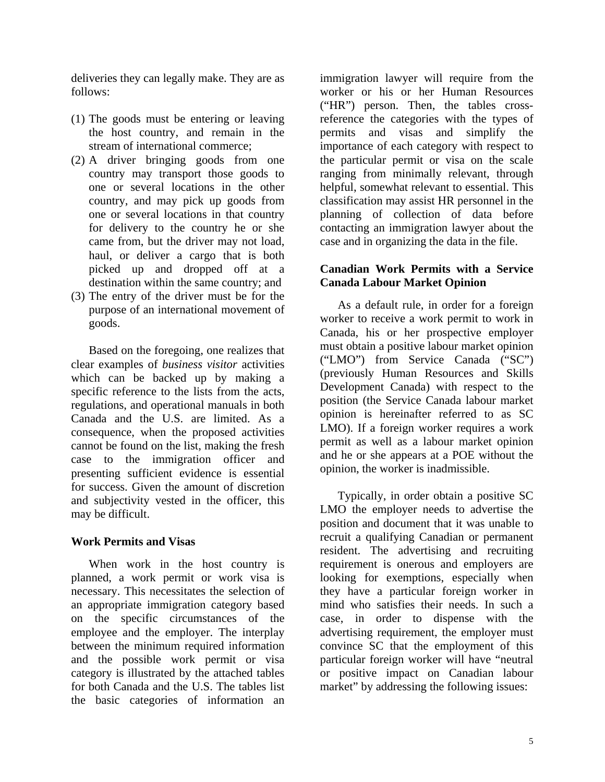deliveries they can legally make. They are as follows:

- (1) The goods must be entering or leaving the host country, and remain in the stream of international commerce;
- (2) A driver bringing goods from one country may transport those goods to one or several locations in the other country, and may pick up goods from one or several locations in that country for delivery to the country he or she came from, but the driver may not load, haul, or deliver a cargo that is both picked up and dropped off at a destination within the same country; and
- (3) The entry of the driver must be for the purpose of an international movement of goods.

Based on the foregoing, one realizes that clear examples of *business visitor* activities which can be backed up by making a specific reference to the lists from the acts, regulations, and operational manuals in both Canada and the U.S. are limited. As a consequence, when the proposed activities cannot be found on the list, making the fresh case to the immigration officer and presenting sufficient evidence is essential for success. Given the amount of discretion and subjectivity vested in the officer, this may be difficult.

# **Work Permits and Visas**

When work in the host country is planned, a work permit or work visa is necessary. This necessitates the selection of an appropriate immigration category based on the specific circumstances of the employee and the employer. The interplay between the minimum required information and the possible work permit or visa category is illustrated by the attached tables for both Canada and the U.S. The tables list the basic categories of information an

immigration lawyer will require from the worker or his or her Human Resources ("HR") person. Then, the tables crossreference the categories with the types of permits and visas and simplify the importance of each category with respect to the particular permit or visa on the scale ranging from minimally relevant, through helpful, somewhat relevant to essential. This classification may assist HR personnel in the planning of collection of data before contacting an immigration lawyer about the case and in organizing the data in the file.

### **Canadian Work Permits with a Service Canada Labour Market Opinion**

As a default rule, in order for a foreign worker to receive a work permit to work in Canada, his or her prospective employer must obtain a positive labour market opinion ("LMO") from Service Canada ("SC") (previously Human Resources and Skills Development Canada) with respect to the position (the Service Canada labour market opinion is hereinafter referred to as SC LMO). If a foreign worker requires a work permit as well as a labour market opinion and he or she appears at a POE without the opinion, the worker is inadmissible.

Typically, in order obtain a positive SC LMO the employer needs to advertise the position and document that it was unable to recruit a qualifying Canadian or permanent resident. The advertising and recruiting requirement is onerous and employers are looking for exemptions, especially when they have a particular foreign worker in mind who satisfies their needs. In such a case, in order to dispense with the advertising requirement, the employer must convince SC that the employment of this particular foreign worker will have "neutral or positive impact on Canadian labour market" by addressing the following issues: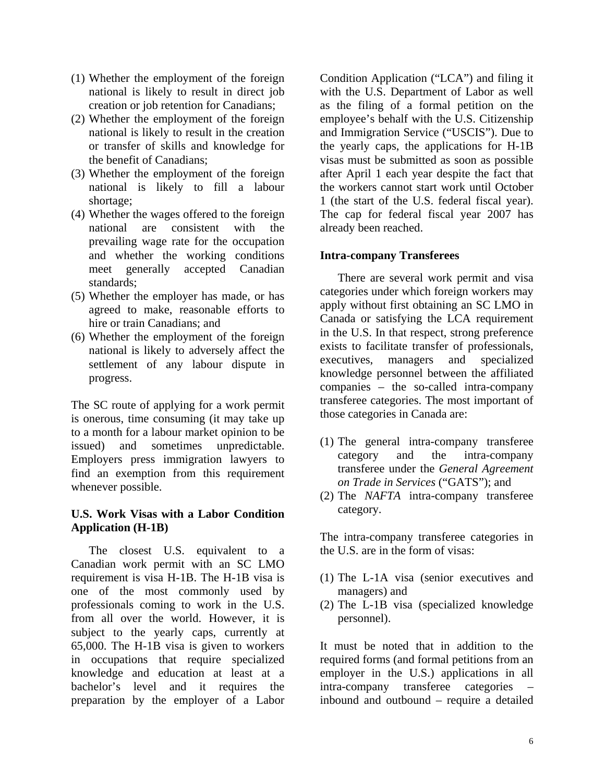- (1) Whether the employment of the foreign national is likely to result in direct job creation or job retention for Canadians;
- (2) Whether the employment of the foreign national is likely to result in the creation or transfer of skills and knowledge for the benefit of Canadians;
- (3) Whether the employment of the foreign national is likely to fill a labour shortage;
- (4) Whether the wages offered to the foreign national are consistent with the prevailing wage rate for the occupation and whether the working conditions meet generally accepted Canadian standards;
- (5) Whether the employer has made, or has agreed to make, reasonable efforts to hire or train Canadians; and
- (6) Whether the employment of the foreign national is likely to adversely affect the settlement of any labour dispute in progress.

The SC route of applying for a work permit is onerous, time consuming (it may take up to a month for a labour market opinion to be issued) and sometimes unpredictable. Employers press immigration lawyers to find an exemption from this requirement whenever possible.

#### **U.S. Work Visas with a Labor Condition Application (H-1B)**

The closest U.S. equivalent to a Canadian work permit with an SC LMO requirement is visa H-1B. The H-1B visa is one of the most commonly used by professionals coming to work in the U.S. from all over the world. However, it is subject to the yearly caps, currently at 65,000. The H-1B visa is given to workers in occupations that require specialized knowledge and education at least at a bachelor's level and it requires the preparation by the employer of a Labor

Condition Application ("LCA") and filing it with the U.S. Department of Labor as well as the filing of a formal petition on the employee's behalf with the U.S. Citizenship and Immigration Service ("USCIS"). Due to the yearly caps, the applications for H-1B visas must be submitted as soon as possible after April 1 each year despite the fact that the workers cannot start work until October 1 (the start of the U.S. federal fiscal year). The cap for federal fiscal year 2007 has already been reached.

### **Intra-company Transferees**

There are several work permit and visa categories under which foreign workers may apply without first obtaining an SC LMO in Canada or satisfying the LCA requirement in the U.S. In that respect, strong preference exists to facilitate transfer of professionals, executives, managers and specialized knowledge personnel between the affiliated companies – the so-called intra-company transferee categories. The most important of those categories in Canada are:

- (1) The general intra-company transferee category and the intra-company transferee under the *General Agreement on Trade in Services* ("GATS"); and
- (2) The *NAFTA* intra-company transferee category.

The intra-company transferee categories in the U.S. are in the form of visas:

- (1) The L-1A visa (senior executives and managers) and
- (2) The L-1B visa (specialized knowledge personnel).

It must be noted that in addition to the required forms (and formal petitions from an employer in the U.S.) applications in all intra-company transferee categories – inbound and outbound – require a detailed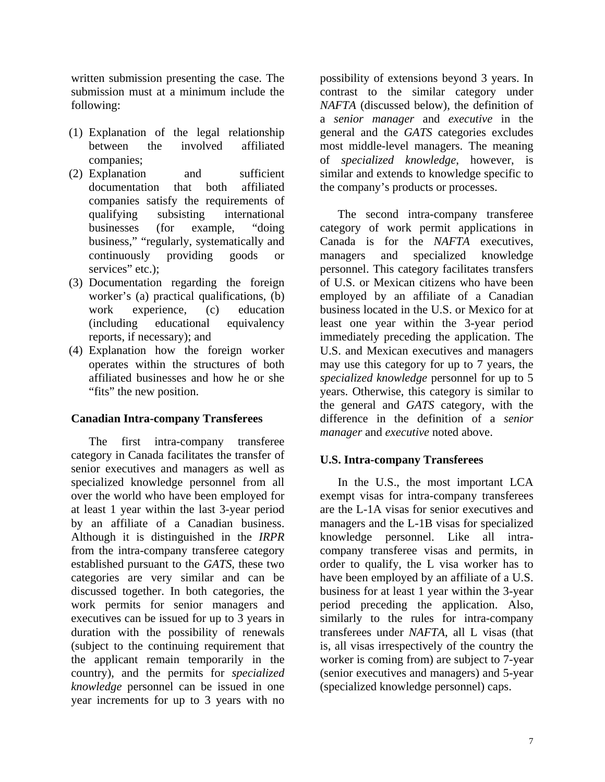written submission presenting the case. The submission must at a minimum include the following:

- (1) Explanation of the legal relationship between the involved affiliated companies;
- (2) Explanation and sufficient documentation that both affiliated companies satisfy the requirements of qualifying subsisting international businesses (for example, "doing business," "regularly, systematically and continuously providing goods or services" etc.):
- (3) Documentation regarding the foreign worker's (a) practical qualifications, (b) work experience, (c) education (including educational equivalency reports, if necessary); and
- (4) Explanation how the foreign worker operates within the structures of both affiliated businesses and how he or she "fits" the new position.

#### **Canadian Intra-company Transferees**

The first intra-company transferee category in Canada facilitates the transfer of senior executives and managers as well as specialized knowledge personnel from all over the world who have been employed for at least 1 year within the last 3-year period by an affiliate of a Canadian business. Although it is distinguished in the *IRPR* from the intra-company transferee category established pursuant to the *GATS*, these two categories are very similar and can be discussed together. In both categories, the work permits for senior managers and executives can be issued for up to 3 years in duration with the possibility of renewals (subject to the continuing requirement that the applicant remain temporarily in the country), and the permits for *specialized knowledge* personnel can be issued in one year increments for up to 3 years with no

possibility of extensions beyond 3 years. In contrast to the similar category under *NAFTA* (discussed below), the definition of a *senior manager* and *executive* in the general and the *GATS* categories excludes most middle-level managers. The meaning of *specialized knowledge*, however, is similar and extends to knowledge specific to the company's products or processes.

The second intra-company transferee category of work permit applications in Canada is for the *NAFTA* executives, managers and specialized knowledge personnel. This category facilitates transfers of U.S. or Mexican citizens who have been employed by an affiliate of a Canadian business located in the U.S. or Mexico for at least one year within the 3-year period immediately preceding the application. The U.S. and Mexican executives and managers may use this category for up to 7 years, the *specialized knowledge* personnel for up to 5 years. Otherwise, this category is similar to the general and *GATS* category, with the difference in the definition of a *senior manager* and *executive* noted above.

# **U.S. Intra-company Transferees**

In the U.S., the most important LCA exempt visas for intra-company transferees are the L-1A visas for senior executives and managers and the L-1B visas for specialized knowledge personnel. Like all intracompany transferee visas and permits, in order to qualify, the L visa worker has to have been employed by an affiliate of a U.S. business for at least 1 year within the 3-year period preceding the application. Also, similarly to the rules for intra-company transferees under *NAFTA*, all L visas (that is, all visas irrespectively of the country the worker is coming from) are subject to 7-year (senior executives and managers) and 5-year (specialized knowledge personnel) caps.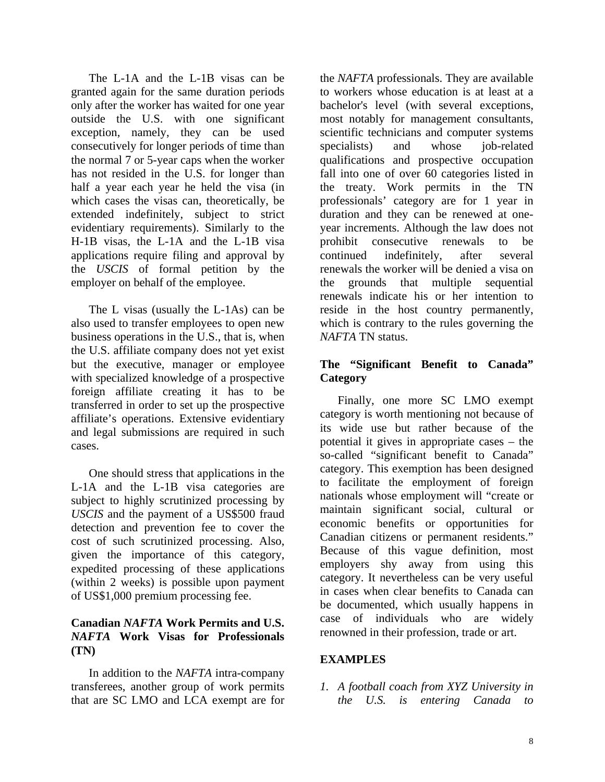The L-1A and the L-1B visas can be granted again for the same duration periods only after the worker has waited for one year outside the U.S. with one significant exception, namely, they can be used consecutively for longer periods of time than the normal 7 or 5-year caps when the worker has not resided in the U.S. for longer than half a year each year he held the visa (in which cases the visas can, theoretically, be extended indefinitely, subject to strict evidentiary requirements). Similarly to the H-1B visas, the L-1A and the L-1B visa applications require filing and approval by the *USCIS* of formal petition by the employer on behalf of the employee.

The L visas (usually the L-1As) can be also used to transfer employees to open new business operations in the U.S., that is, when the U.S. affiliate company does not yet exist but the executive, manager or employee with specialized knowledge of a prospective foreign affiliate creating it has to be transferred in order to set up the prospective affiliate's operations. Extensive evidentiary and legal submissions are required in such cases.

One should stress that applications in the L-1A and the L-1B visa categories are subject to highly scrutinized processing by *USCIS* and the payment of a US\$500 fraud detection and prevention fee to cover the cost of such scrutinized processing. Also, given the importance of this category, expedited processing of these applications (within 2 weeks) is possible upon payment of US\$1,000 premium processing fee.

### **Canadian** *NAFTA* **Work Permits and U.S.**  *NAFTA* **Work Visas for Professionals (TN)**

In addition to the *NAFTA* intra-company transferees, another group of work permits that are SC LMO and LCA exempt are for

the *NAFTA* professionals. They are available to workers whose education is at least at a bachelor's level (with several exceptions, most notably for management consultants, scientific technicians and computer systems specialists) and whose job-related qualifications and prospective occupation fall into one of over 60 categories listed in the treaty. Work permits in the TN professionals' category are for 1 year in duration and they can be renewed at oneyear increments. Although the law does not prohibit consecutive renewals to be continued indefinitely, after several renewals the worker will be denied a visa on the grounds that multiple sequential renewals indicate his or her intention to reside in the host country permanently, which is contrary to the rules governing the *NAFTA* TN status.

# **The "Significant Benefit to Canada" Category**

Finally, one more SC LMO exempt category is worth mentioning not because of its wide use but rather because of the potential it gives in appropriate cases – the so-called "significant benefit to Canada" category. This exemption has been designed to facilitate the employment of foreign nationals whose employment will "create or maintain significant social, cultural or economic benefits or opportunities for Canadian citizens or permanent residents." Because of this vague definition, most employers shy away from using this category. It nevertheless can be very useful in cases when clear benefits to Canada can be documented, which usually happens in case of individuals who are widely renowned in their profession, trade or art.

# **EXAMPLES**

*1. A football coach from XYZ University in the U.S. is entering Canada to*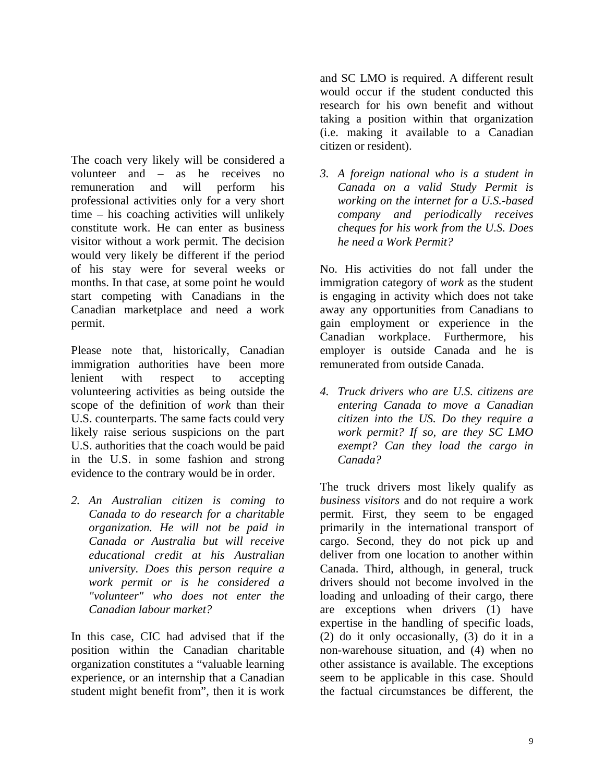The coach very likely will be considered a volunteer and – as he receives no remuneration and will perform his professional activities only for a very short time – his coaching activities will unlikely constitute work. He can enter as business visitor without a work permit. The decision would very likely be different if the period of his stay were for several weeks or months. In that case, at some point he would start competing with Canadians in the Canadian marketplace and need a work permit.

Please note that, historically, Canadian immigration authorities have been more lenient with respect to accepting volunteering activities as being outside the scope of the definition of *work* than their U.S. counterparts. The same facts could very likely raise serious suspicions on the part U.S. authorities that the coach would be paid in the U.S. in some fashion and strong evidence to the contrary would be in order.

*2. An Australian citizen is coming to Canada to do research for a charitable organization. He will not be paid in Canada or Australia but will receive educational credit at his Australian university. Does this person require a work permit or is he considered a "volunteer" who does not enter the Canadian labour market?* 

In this case, CIC had advised that if the position within the Canadian charitable organization constitutes a "valuable learning experience, or an internship that a Canadian student might benefit from", then it is work

and SC LMO is required. A different result would occur if the student conducted this research for his own benefit and without taking a position within that organization (i.e. making it available to a Canadian citizen or resident).

*3. A foreign national who is a student in Canada on a valid Study Permit is working on the internet for a U.S.-based company and periodically receives cheques for his work from the U.S. Does he need a Work Permit?* 

No. His activities do not fall under the immigration category of *work* as the student is engaging in activity which does not take away any opportunities from Canadians to gain employment or experience in the Canadian workplace. Furthermore, his employer is outside Canada and he is remunerated from outside Canada.

*4. Truck drivers who are U.S. citizens are entering Canada to move a Canadian citizen into the US. Do they require a work permit? If so, are they SC LMO exempt? Can they load the cargo in Canada?* 

The truck drivers most likely qualify as *business visitors* and do not require a work permit. First, they seem to be engaged primarily in the international transport of cargo. Second, they do not pick up and deliver from one location to another within Canada. Third, although, in general, truck drivers should not become involved in the loading and unloading of their cargo, there are exceptions when drivers (1) have expertise in the handling of specific loads, (2) do it only occasionally, (3) do it in a non-warehouse situation, and (4) when no other assistance is available. The exceptions seem to be applicable in this case. Should the factual circumstances be different, the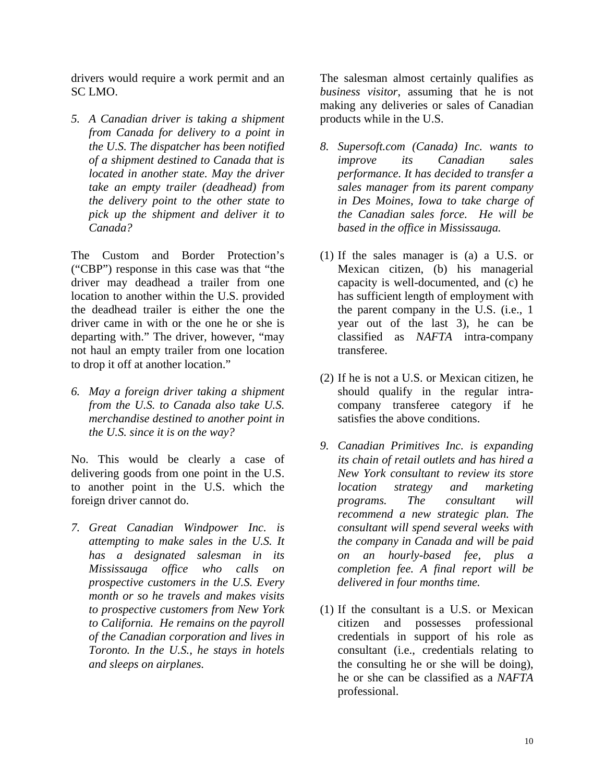drivers would require a work permit and an SC LMO.

*5. A Canadian driver is taking a shipment from Canada for delivery to a point in the U.S. The dispatcher has been notified of a shipment destined to Canada that is located in another state. May the driver take an empty trailer (deadhead) from the delivery point to the other state to pick up the shipment and deliver it to Canada?* 

The Custom and Border Protection's ("CBP") response in this case was that "the driver may deadhead a trailer from one location to another within the U.S. provided the deadhead trailer is either the one the driver came in with or the one he or she is departing with." The driver, however, "may not haul an empty trailer from one location to drop it off at another location."

*6. May a foreign driver taking a shipment from the U.S. to Canada also take U.S. merchandise destined to another point in the U.S. since it is on the way?* 

No. This would be clearly a case of delivering goods from one point in the U.S. to another point in the U.S. which the foreign driver cannot do.

*7. Great Canadian Windpower Inc. is attempting to make sales in the U.S. It has a designated salesman in its Mississauga office who calls on prospective customers in the U.S. Every month or so he travels and makes visits to prospective customers from New York to California. He remains on the payroll of the Canadian corporation and lives in Toronto. In the U.S., he stays in hotels and sleeps on airplanes.* 

The salesman almost certainly qualifies as *business visitor*, assuming that he is not making any deliveries or sales of Canadian products while in the U.S.

- *8. Supersoft.com (Canada) Inc. wants to improve its Canadian sales performance. It has decided to transfer a sales manager from its parent company in Des Moines, Iowa to take charge of the Canadian sales force. He will be based in the office in Mississauga.*
- (1) If the sales manager is (a) a U.S. or Mexican citizen, (b) his managerial capacity is well-documented, and (c) he has sufficient length of employment with the parent company in the U.S. (i.e., 1 year out of the last 3), he can be classified as *NAFTA* intra-company transferee.
- (2) If he is not a U.S. or Mexican citizen, he should qualify in the regular intracompany transferee category if he satisfies the above conditions.
- *9. Canadian Primitives Inc. is expanding its chain of retail outlets and has hired a New York consultant to review its store location strategy and marketing programs. The consultant will recommend a new strategic plan. The consultant will spend several weeks with the company in Canada and will be paid on an hourly-based fee, plus a completion fee. A final report will be delivered in four months time.*
- (1) If the consultant is a U.S. or Mexican citizen and possesses professional credentials in support of his role as consultant (i.e., credentials relating to the consulting he or she will be doing), he or she can be classified as a *NAFTA* professional.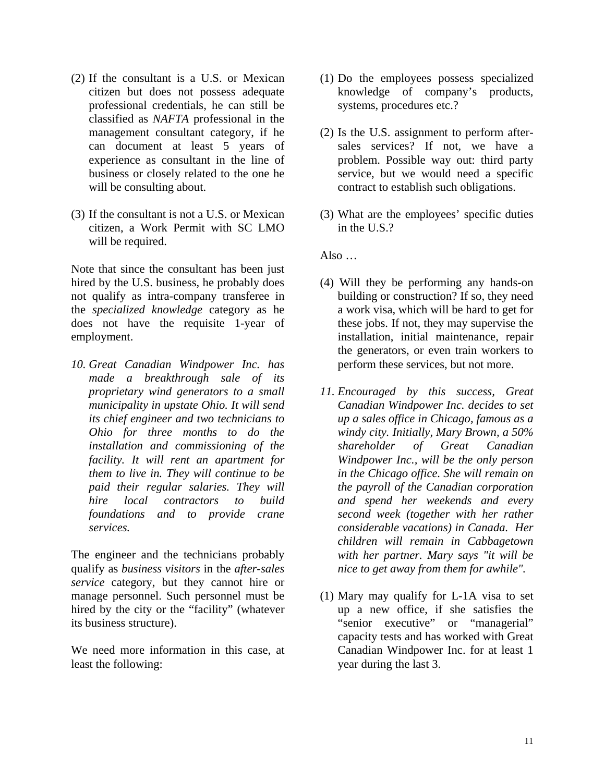- (2) If the consultant is a U.S. or Mexican citizen but does not possess adequate professional credentials, he can still be classified as *NAFTA* professional in the management consultant category, if he can document at least 5 years of experience as consultant in the line of business or closely related to the one he will be consulting about.
- (3) If the consultant is not a U.S. or Mexican citizen, a Work Permit with SC LMO will be required.

Note that since the consultant has been just hired by the U.S. business, he probably does not qualify as intra-company transferee in the *specialized knowledge* category as he does not have the requisite 1-year of employment.

*10. Great Canadian Windpower Inc. has made a breakthrough sale of its proprietary wind generators to a small municipality in upstate Ohio. It will send its chief engineer and two technicians to Ohio for three months to do the installation and commissioning of the facility. It will rent an apartment for them to live in. They will continue to be paid their regular salaries. They will hire local contractors to build foundations and to provide crane services.* 

The engineer and the technicians probably qualify as *business visitors* in the *after-sales service* category, but they cannot hire or manage personnel. Such personnel must be hired by the city or the "facility" (whatever its business structure).

We need more information in this case, at least the following:

- (1) Do the employees possess specialized knowledge of company's products, systems, procedures etc.?
- (2) Is the U.S. assignment to perform aftersales services? If not, we have a problem. Possible way out: third party service, but we would need a specific contract to establish such obligations.
- (3) What are the employees' specific duties in the U.S.?

Also  $\ldots$ 

- (4) Will they be performing any hands-on building or construction? If so, they need a work visa, which will be hard to get for these jobs. If not, they may supervise the installation, initial maintenance, repair the generators, or even train workers to perform these services, but not more.
- *11. Encouraged by this success, Great Canadian Windpower Inc. decides to set up a sales office in Chicago, famous as a windy city. Initially, Mary Brown, a 50% shareholder of Great Canadian Windpower Inc., will be the only person in the Chicago office. She will remain on the payroll of the Canadian corporation and spend her weekends and every second week (together with her rather considerable vacations) in Canada. Her children will remain in Cabbagetown with her partner. Mary says "it will be nice to get away from them for awhile".*
- (1) Mary may qualify for L-1A visa to set up a new office, if she satisfies the "senior executive" or "managerial" capacity tests and has worked with Great Canadian Windpower Inc. for at least 1 year during the last 3.